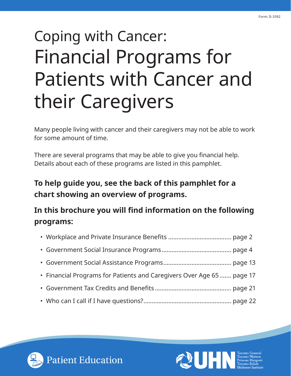# Coping with Cancer: Financial Programs for Patients with Cancer and their Caregivers

Many people living with cancer and their caregivers may not be able to work for some amount of time.

There are several programs that may be able to give you financial help. Details about each of these programs are listed in this pamphlet.

# **To help guide you, see the back of this pamphlet for a chart showing an overview of programs.**

# **In this brochure you will find information on the following programs:**

| • Financial Programs for Patients and Caregivers Over Age 65  page 17 |  |
|-----------------------------------------------------------------------|--|
|                                                                       |  |
|                                                                       |  |



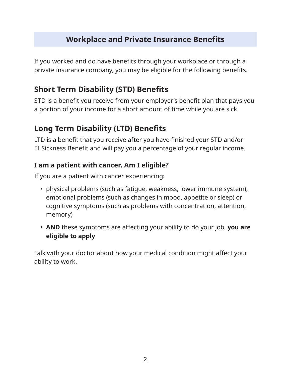# **Workplace and Private Insurance Benefits**

If you worked and do have benefits through your workplace or through a private insurance company, you may be eligible for the following benefits.

# **Short Term Disability (STD) Benefits**

STD is a benefit you receive from your employer's benefit plan that pays you a portion of your income for a short amount of time while you are sick.

# **Long Term Disability (LTD) Benefits**

LTD is a benefit that you receive after you have finished your STD and/or EI Sickness Benefit and will pay you a percentage of your regular income.

#### **I am a patient with cancer. Am I eligible?**

If you are a patient with cancer experiencing:

- physical problems (such as fatigue, weakness, lower immune system), emotional problems (such as changes in mood, appetite or sleep) or cognitive symptoms (such as problems with concentration, attention, memory)
- **• AND** these symptoms are affecting your ability to do your job, **you are eligible to apply**

Talk with your doctor about how your medical condition might affect your ability to work.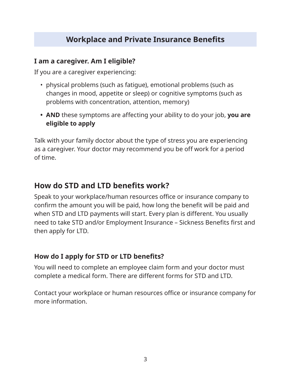# **Workplace and Private Insurance Benefits**

#### **I am a caregiver. Am I eligible?**

If you are a caregiver experiencing:

- physical problems (such as fatigue), emotional problems (such as changes in mood, appetite or sleep) or cognitive symptoms (such as problems with concentration, attention, memory)
- **• AND** these symptoms are affecting your ability to do your job, **you are eligible to apply**

Talk with your family doctor about the type of stress you are experiencing as a caregiver. Your doctor may recommend you be off work for a period of time.

# **How do STD and LTD benefits work?**

Speak to your workplace/human resources office or insurance company to confirm the amount you will be paid, how long the benefit will be paid and when STD and LTD payments will start. Every plan is different. You usually need to take STD and/or Employment Insurance – Sickness Benefits first and then apply for LTD.

#### **How do I apply for STD or LTD benefits?**

You will need to complete an employee claim form and your doctor must complete a medical form. There are different forms for STD and LTD.

Contact your workplace or human resources office or insurance company for more information.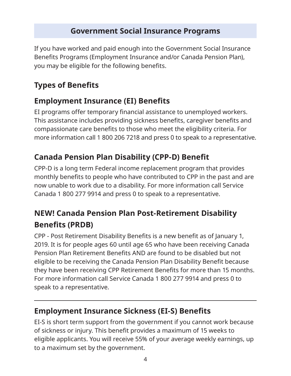If you have worked and paid enough into the Government Social Insurance Benefits Programs (Employment Insurance and/or Canada Pension Plan), you may be eligible for the following benefits.

### **Types of Benefits**

 $\overline{a}$ 

### **Employment Insurance (EI) Benefits**

EI programs offer temporary financial assistance to unemployed workers. This assistance includes providing sickness benefits, caregiver benefits and compassionate care benefits to those who meet the eligibility criteria. For more information call 1 800 206 7218 and press 0 to speak to a representative.

# **Canada Pension Plan Disability (CPP-D) Benefit**

CPP-D is a long term Federal income replacement program that provides monthly benefits to people who have contributed to CPP in the past and are now unable to work due to a disability. For more information call Service Canada 1 800 277 9914 and press 0 to speak to a representative.

# **NEW! Canada Pension Plan Post-Retirement Disability Benefits (PRDB)**

CPP - Post Retirement Disability Benefits is a new benefit as of January 1, 2019. It is for people ages 60 until age 65 who have been receiving Canada Pension Plan Retirement Benefits AND are found to be disabled but not eligible to be receiving the Canada Pension Plan Disability Benefit because they have been receiving CPP Retirement Benefits for more than 15 months. For more information call Service Canada 1 800 277 9914 and press 0 to speak to a representative.

### **Employment Insurance Sickness (EI-S) Benefits**

EI-S is short term support from the government if you cannot work because of sickness or injury. This benefit provides a maximum of 15 weeks to eligible applicants. You will receive 55% of your average weekly earnings, up to a maximum set by the government.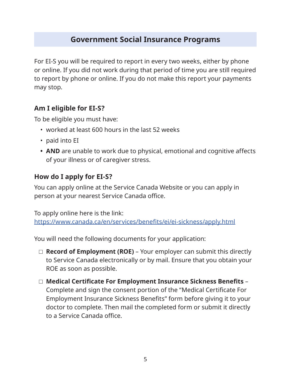For EI-S you will be required to report in every two weeks, either by phone or online. If you did not work during that period of time you are still required to report by phone or online. If you do not make this report your payments may stop.

#### **Am I eligible for EI-S?**

To be eligible you must have:

- worked at least 600 hours in the last 52 weeks
- paid into EI
- **• AND** are unable to work due to physical, emotional and cognitive affects of your illness or of caregiver stress.

#### **How do I apply for EI-S?**

You can apply online at the Service Canada Website or you can apply in person at your nearest Service Canada office.

To apply online here is the link: <https://www.canada.ca/en/services/benefits/ei/ei-sickness/apply.html>

You will need the following documents for your application:

- □ **Record of Employment (ROE)** Your employer can submit this directly to Service Canada electronically or by mail. Ensure that you obtain your ROE as soon as possible.
- □ **Medical Certificate For Employment Insurance Sickness Benefits**  Complete and sign the consent portion of the "Medical Certificate For Employment Insurance Sickness Benefits" form before giving it to your doctor to complete. Then mail the completed form or submit it directly to a Service Canada office.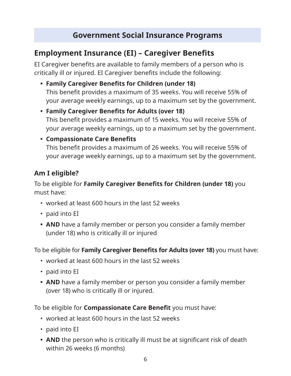### **Employment Insurance (EI) – Caregiver Benefits**

EI Caregiver benefits are available to family members of a person who is critically ill or injured. EI Caregiver benefits include the following:

- **• Family Caregiver Benefits for Children (under 18)** This benefit provides a maximum of 35 weeks. You will receive 55% of your average weekly earnings, up to a maximum set by the government.
- **• Family Caregiver Benefits for Adults (over 18)** This benefit provides a maximum of 15 weeks. You will receive 55% of your average weekly earnings, up to a maximum set by the government.

#### **• Compassionate Care Benefits**

This benefit provides a maximum of 26 weeks. You will receive 55% of your average weekly earnings, up to a maximum set by the government.

#### **Am I eligible?**

To be eligible for **Family Caregiver Benefits for Children (under 18)** you must have:

- worked at least 600 hours in the last 52 weeks
- paid into EI
- **• AND** have a family member or person you consider a family member (under 18) who is critically ill or injured

To be eligible for **Family Caregiver Benefits for Adults (over 18)** you must have:

- worked at least 600 hours in the last 52 weeks
- paid into EI
- **• AND** have a family member or person you consider a family member (over 18) who is critically ill or injured.

To be eligible for **Compassionate Care Benefit** you must have:

- worked at least 600 hours in the last 52 weeks
- paid into EI
- **• AND** the person who is critically ill must be at significant risk of death within 26 weeks (6 months)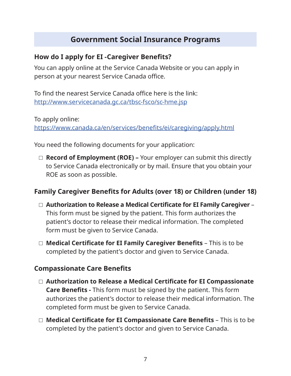#### **How do I apply for EI -Caregiver Benefits?**

You can apply online at the Service Canada Website or you can apply in person at your nearest Service Canada office.

To find the nearest Service Canada office here is the link: <http://www.servicecanada.gc.ca/tbsc-fsco/sc-hme.jsp>

To apply online:

<https://www.canada.ca/en/services/benefits/ei/caregiving/apply.html>

You need the following documents for your application:

□ **Record of Employment (ROE) –** Your employer can submit this directly to Service Canada electronically or by mail. Ensure that you obtain your ROE as soon as possible.

#### **Family Caregiver Benefits for Adults (over 18) or Children (under 18)**

- □ **Authorization to Release a Medical Certificate for EI Family Caregiver**  This form must be signed by the patient. This form authorizes the patient's doctor to release their medical information. The completed form must be given to Service Canada.
- □ **Medical Certificate for EI Family Caregiver Benefits** This is to be completed by the patient's doctor and given to Service Canada.

#### **Compassionate Care Benefits**

- □ **Authorization to Release a Medical Certificate for EI Compassionate Care Benefits -** This form must be signed by the patient. This form authorizes the patient's doctor to release their medical information. The completed form must be given to Service Canada.
- □ **Medical Certificate for EI Compassionate Care Benefits** This is to be completed by the patient's doctor and given to Service Canada.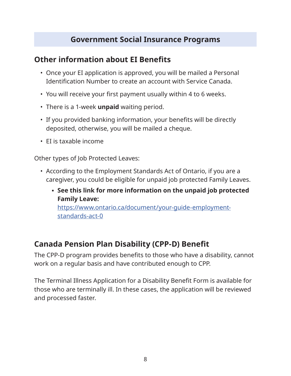### **Other information about EI Benefits**

- Once your EI application is approved, you will be mailed a Personal Identification Number to create an account with Service Canada.
- You will receive your first payment usually within 4 to 6 weeks.
- There is a 1-week **unpaid** waiting period.
- If you provided banking information, your benefits will be directly deposited, otherwise, you will be mailed a cheque.
- EI is taxable income

Other types of Job Protected Leaves:

- According to the Employment Standards Act of Ontario, if you are a caregiver, you could be eligible for unpaid job protected Family Leaves.
	- **See this link for more information on the unpaid job protected Family Leave:** https://www.ontario.ca/document/your-guide-employment-

#### standards-act-0

### **Canada Pension Plan Disability (CPP-D) Benefit**

The CPP-D program provides benefits to those who have a disability, cannot work on a regular basis and have contributed enough to CPP.

The Terminal Illness Application for a Disability Benefit Form is available for those who are terminally ill. In these cases, the application will be reviewed and processed faster.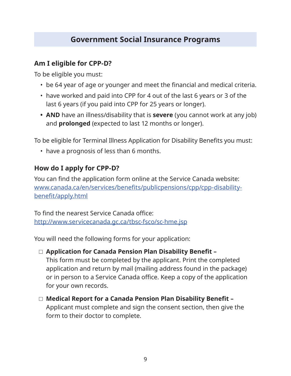#### **Am I eligible for CPP-D?**

To be eligible you must:

- be 64 year of age or younger and meet the financial and medical criteria.
- have worked and paid into CPP for 4 out of the last 6 years or 3 of the last 6 years (if you paid into CPP for 25 years or longer).
- **• AND** have an illness/disability that is **severe** (you cannot work at any job) and **prolonged** (expected to last 12 months or longer).

To be eligible for Terminal Illness Application for Disability Benefits you must:

• have a prognosis of less than 6 months.

#### **How do I apply for CPP-D?**

You can find the application form online at the Service Canada website: [www.canada.ca/en/services/benefits/publicpensions/cpp/cpp-disability](http://www.canada.ca/en/services/benefits/publicpensions/cpp/cpp-disability-benefit/apply.html)[benefit/apply.html](http://www.canada.ca/en/services/benefits/publicpensions/cpp/cpp-disability-benefit/apply.html)

To find the nearest Service Canada office: <http://www.servicecanada.gc.ca/tbsc-fsco/sc-hme.jsp>

You will need the following forms for your application:

- □ Application for Canada Pension Plan Disability Benefit This form must be completed by the applicant. Print the completed application and return by mail (mailing address found in the package) or in person to a Service Canada office. Keep a copy of the application for your own records.
- □ **Medical Report for a Canada Pension Plan Disability Benefit**  Applicant must complete and sign the consent section, then give the form to their doctor to complete.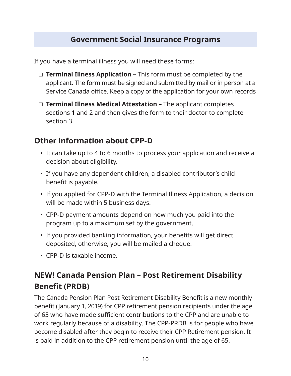If you have a terminal illness you will need these forms:

- □ **Terminal Illness Application** This form must be completed by the applicant. The form must be signed and submitted by mail or in person at a Service Canada office. Keep a copy of the application for your own records
- □ **Terminal Illness Medical Attestation –** The applicant completes sections 1 and 2 and then gives the form to their doctor to complete section 3.

# **Other information about CPP-D**

- It can take up to 4 to 6 months to process your application and receive a decision about eligibility.
- If you have any dependent children, a disabled contributor's child benefit is payable.
- If you applied for CPP-D with the Terminal Illness Application, a decision will be made within 5 business days.
- CPP-D payment amounts depend on how much you paid into the program up to a maximum set by the government.
- If you provided banking information, your benefits will get direct deposited, otherwise, you will be mailed a cheque.
- CPP-D is taxable income.

# **NEW! Canada Pension Plan – Post Retirement Disability Benefit (PRDB)**

The Canada Pension Plan Post Retirement Disability Benefit is a new monthly benefit (January 1, 2019) for CPP retirement pension recipients under the age of 65 who have made sufficient contributions to the CPP and are unable to work regularly because of a disability. The CPP-PRDB is for people who have become disabled after they begin to receive their CPP Retirement pension. It is paid in addition to the CPP retirement pension until the age of 65.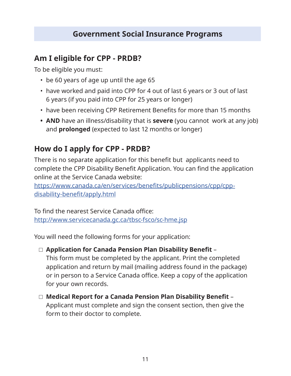### **Am I eligible for CPP - PRDB?**

To be eligible you must:

- be 60 years of age up until the age 65
- have worked and paid into CPP for 4 out of last 6 years or 3 out of last 6 years (if you paid into CPP for 25 years or longer)
- have been receiving CPP Retirement Benefits for more than 15 months
- **• AND** have an illness/disability that is **severe** (you cannot work at any job) and **prolonged** (expected to last 12 months or longer)

### **How do I apply for CPP - PRDB?**

There is no separate application for this benefit but applicants need to complete the CPP Disability Benefit Application. You can find the application online at the Service Canada website:

[https://www.canada.ca/en/services/benefits/publicpensions/cpp/cpp](https://www.canada.ca/en/services/benefits/publicpensions/cpp/cpp-disability-benefit/apply.html)[disability-benefit/apply.html](https://www.canada.ca/en/services/benefits/publicpensions/cpp/cpp-disability-benefit/apply.html)

To find the nearest Service Canada office: <http://www.servicecanada.gc.ca/tbsc-fsco/sc-hme.jsp>

You will need the following forms for your application:

□ **Application for Canada Pension Plan Disability Benefit** –

This form must be completed by the applicant. Print the completed application and return by mail (mailing address found in the package) or in person to a Service Canada office. Keep a copy of the application for your own records.

□ **Medical Report for a Canada Pension Plan Disability Benefit** – Applicant must complete and sign the consent section, then give the form to their doctor to complete.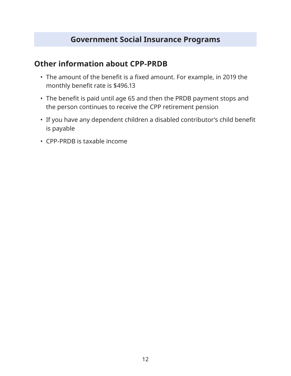#### **Other information about CPP-PRDB**

- The amount of the benefit is a fixed amount. For example, in 2019 the monthly benefit rate is \$496.13
- The benefit is paid until age 65 and then the PRDB payment stops and the person continues to receive the CPP retirement pension
- If you have any dependent children a disabled contributor's child benefit is payable
- CPP-PRDB is taxable income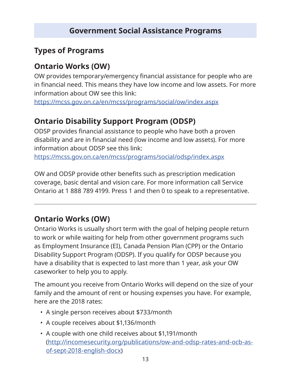### **Types of Programs**

### **Ontario Works (OW)**

OW provides temporary/emergency financial assistance for people who are in financial need. This means they have low income and low assets. For more information about OW see this link:

<https://mcss.gov.on.ca/en/mcss/programs/social/ow/index.aspx>

# **Ontario Disability Support Program (ODSP)**

ODSP provides financial assistance to people who have both a proven disability and are in financial need (low income and low assets). For more information about ODSP see this link:

<https://mcss.gov.on.ca/en/mcss/programs/social/odsp/index.aspx>

OW and ODSP provide other benefits such as prescription medication coverage, basic dental and vision care. For more information call Service Ontario at 1 888 789 4199. Press 1 and then 0 to speak to a representative.

# **Ontario Works (OW)**

Ontario Works is usually short term with the goal of helping people return to work or while waiting for help from other government programs such as Employment Insurance (EI), Canada Pension Plan (CPP) or the Ontario Disability Support Program (ODSP). If you qualify for ODSP because you have a disability that is expected to last more than 1 year, ask your OW caseworker to help you to apply.

The amount you receive from Ontario Works will depend on the size of your family and the amount of rent or housing expenses you have. For example, here are the 2018 rates:

- A single person receives about \$733/month
- A couple receives about \$1,136/month
- A couple with one child receives about \$1,191/month ([http://incomesecurity.org/publications/ow-and-odsp-rates-and-ocb-as](http://incomesecurity.org/publications/ow-and-odsp-rates-and-ocb-as-of-sept-2018-english-docx)[of-sept-2018-english-docx](http://incomesecurity.org/publications/ow-and-odsp-rates-and-ocb-as-of-sept-2018-english-docx))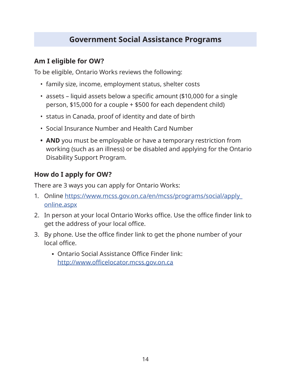#### **Am I eligible for OW?**

To be eligible, Ontario Works reviews the following:

- family size, income, employment status, shelter costs
- assets liquid assets below a specific amount (\$10,000 for a single person, \$15,000 for a couple + \$500 for each dependent child)
- status in Canada, proof of identity and date of birth
- Social Insurance Number and Health Card Number
- **• AND** you must be employable or have a temporary restriction from working (such as an illness) or be disabled and applying for the Ontario Disability Support Program.

#### **How do I apply for OW?**

There are 3 ways you can apply for Ontario Works:

- 1. Online [https://www.mcss.gov.on.ca/en/mcss/programs/social/apply\\_](https://www.mcss.gov.on.ca/en/mcss/programs/social/apply_online.aspx) [online.aspx](https://www.mcss.gov.on.ca/en/mcss/programs/social/apply_online.aspx)
- 2. In person at your local Ontario Works office. Use the office finder link to get the address of your local office.
- 3. By phone. Use the office finder link to get the phone number of your local office.
	- Ontario Social Assistance Office Finder link: <http://www.officelocator.mcss.gov.on.ca>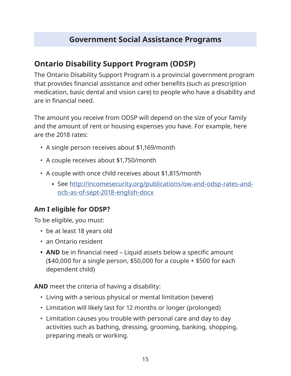# **Ontario Disability Support Program (ODSP)**

The Ontario Disability Support Program is a provincial government program that provides financial assistance and other benefits (such as prescription medication, basic dental and vision care) to people who have a disability and are in financial need.

The amount you receive from ODSP will depend on the size of your family and the amount of rent or housing expenses you have. For example, here are the 2018 rates:

- A single person receives about \$1,169/month
- A couple receives about \$1,750/month
- A couple with once child receives about \$1,815/month
	- See [http://incomesecurity.org/publications/ow-and-odsp-rates-and](http://incomesecurity.org/publications/ow-and-odsp-rates-and-ocb-as-of-sept-2018-english-docx)[ocb-as-of-sept-2018-english-docx](http://incomesecurity.org/publications/ow-and-odsp-rates-and-ocb-as-of-sept-2018-english-docx)

#### **Am I eligible for ODSP?**

To be eligible, you must:

- be at least 18 years old
- an Ontario resident
- **• AND** be in financial need Liquid assets below a specific amount (\$40,000 for a single person, \$50,000 for a couple + \$500 for each dependent child)

**AND** meet the criteria of having a disability:

- Living with a serious physical or mental limitation (severe)
- Limitation will likely last for 12 months or longer (prolonged)
- Limitation causes you trouble with personal care and day to day activities such as bathing, dressing, grooming, banking, shopping, preparing meals or working.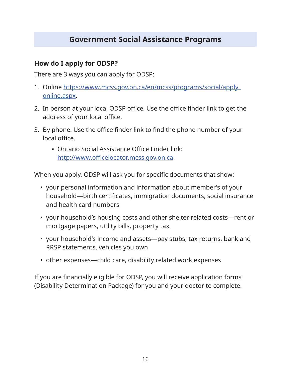#### **How do I apply for ODSP?**

There are 3 ways you can apply for ODSP:

- 1. Online [https://www.mcss.gov.on.ca/en/mcss/programs/social/apply\\_](https://www.mcss.gov.on.ca/en/mcss/programs/social/apply_online.aspx) [online.aspx](https://www.mcss.gov.on.ca/en/mcss/programs/social/apply_online.aspx).
- 2. In person at your local ODSP office. Use the office finder link to get the address of your local office.
- 3. By phone. Use the office finder link to find the phone number of your local office.
	- **Ontario Social Assistance Office Finder link:** <http://www.officelocator.mcss.gov.on.ca>

When you apply, ODSP will ask you for specific documents that show:

- your personal information and information about member's of your household—birth certificates, immigration documents, social insurance and health card numbers
- your household's housing costs and other shelter-related costs—rent or mortgage papers, utility bills, property tax
- your household's income and assets—pay stubs, tax returns, bank and RRSP statements, vehicles you own
- other expenses—child care, disability related work expenses

If you are financially eligible for ODSP, you will receive application forms (Disability Determination Package) for you and your doctor to complete.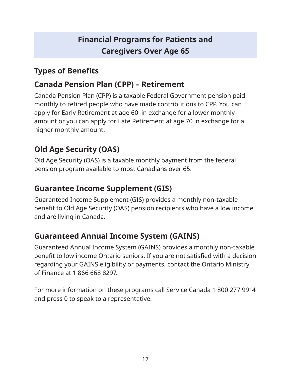# **Types of Benefits**

# **Canada Pension Plan (CPP) – Retirement**

Canada Pension Plan (CPP) is a taxable Federal Government pension paid monthly to retired people who have made contributions to CPP. You can apply for Early Retirement at age 60 in exchange for a lower monthly amount or you can apply for Late Retirement at age 70 in exchange for a higher monthly amount.

# **Old Age Security (OAS)**

Old Age Security (OAS) is a taxable monthly payment from the federal pension program available to most Canadians over 65.

# **Guarantee Income Supplement (GIS)**

Guaranteed Income Supplement (GIS) provides a monthly non-taxable benefit to Old Age Security (OAS) pension recipients who have a low income and are living in Canada.

# **Guaranteed Annual Income System (GAINS)**

Guaranteed Annual Income System (GAINS) provides a monthly non-taxable benefit to low income Ontario seniors. If you are not satisfied with a decision regarding your GAINS eligibility or payments, contact the Ontario Ministry of Finance at 1 866 668 8297.

For more information on these programs call Service Canada 1 800 277 9914 and press 0 to speak to a representative.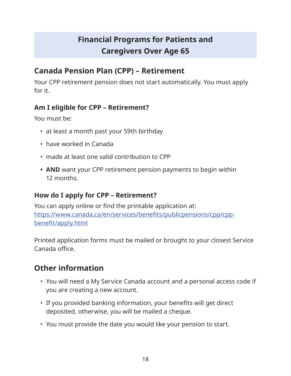# **Canada Pension Plan (CPP) – Retirement**

Your CPP retirement pension does not start automatically. You must apply for it.

#### **Am I eligible for CPP – Retirement?**

You must be:

- at least a month past your 59th birthday
- have worked in Canada
- made at least one valid contribution to CPP
- **• AND** want your CPP retirement pension payments to begin within 12 months.

#### **How do I apply for CPP – Retirement?**

You can apply online or find the printable application at: [https://www.canada.ca/en/services/benefits/publicpensions/cpp/cpp](https://www.canada.ca/en/services/benefits/publicpensions/cpp/cpp-benefit/apply.html)[benefit/apply.html](https://www.canada.ca/en/services/benefits/publicpensions/cpp/cpp-benefit/apply.html)

Printed application forms must be mailed or brought to your closest Service Canada office.

# **Other information**

- You will need a My Service Canada account and a personal access code if you are creating a new account.
- If you provided banking information, your benefits will get direct deposited, otherwise, you will be mailed a cheque.
- You must provide the date you would like your pension to start.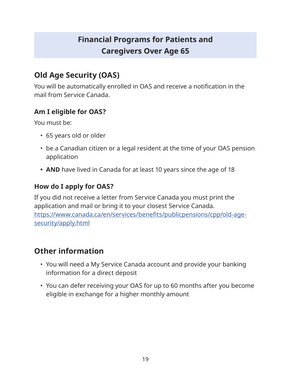# **Old Age Security (OAS)**

You will be automatically enrolled in OAS and receive a notification in the mail from Service Canada.

#### **Am I eligible for OAS?**

You must be:

- 65 years old or older
- be a Canadian citizen or a legal resident at the time of your OAS pension application
- **• AND** have lived in Canada for at least 10 years since the age of 18

### **How do I apply for OAS?**

If you did not receive a letter from Service Canada you must print the application and mail or bring it to your closest Service Canada. [https://www.canada.ca/en/services/benefits/publicpensions/cpp/old-age](https://www.canada.ca/en/services/benefits/publicpensions/cpp/old-age-security/apply.html)[security/apply.html](https://www.canada.ca/en/services/benefits/publicpensions/cpp/old-age-security/apply.html)

# **Other information**

- You will need a My Service Canada account and provide your banking information for a direct deposit
- You can defer receiving your OAS for up to 60 months after you become eligible in exchange for a higher monthly amount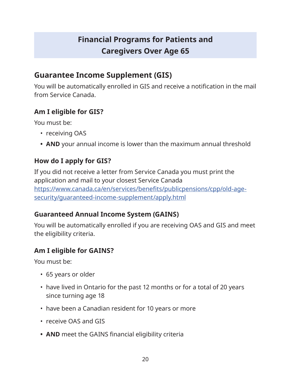### **Guarantee Income Supplement (GIS)**

You will be automatically enrolled in GIS and receive a notification in the mail from Service Canada.

#### **Am I eligible for GIS?**

You must be:

- receiving OAS
- **• AND** your annual income is lower than the maximum annual threshold

#### **How do I apply for GIS?**

If you did not receive a letter from Service Canada you must print the application and mail to your closest Service Canada [https://www.canada.ca/en/services/benefits/publicpensions/cpp/old-age](https://www.canada.ca/en/services/benefits/publicpensions/cpp/old-age-security/guaranteed-income-supplement/apply.html)[security/guaranteed-income-supplement/apply.html](https://www.canada.ca/en/services/benefits/publicpensions/cpp/old-age-security/guaranteed-income-supplement/apply.html)

#### **Guaranteed Annual Income System (GAINS)**

You will be automatically enrolled if you are receiving OAS and GIS and meet the eligibility criteria.

#### **Am I eligible for GAINS?**

You must be:

- 65 years or older
- have lived in Ontario for the past 12 months or for a total of 20 years since turning age 18
- have been a Canadian resident for 10 years or more
- receive OAS and GIS
- **• AND** meet the GAINS financial eligibility criteria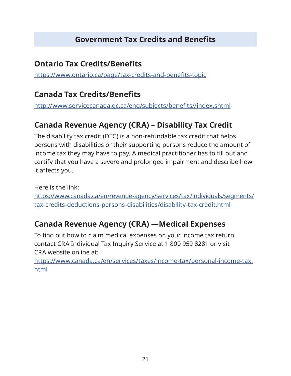# **Government Tax Credits and Benefits**

### **Ontario Tax Credits/Benefits**

<https://www.ontario.ca/page/tax-credits-and-benefits-topic>

# **Canada Tax Credits/Benefits**

[http://www.servicecanada.gc.ca/eng/subjects/benefits//index.shtml](http://www.servicecanada.gc.ca/eng/subjects/benefits//index.shtml )

# **Canada Revenue Agency (CRA) – Disability Tax Credit**

The disability tax credit (DTC) is a non-refundable tax credit that helps persons with disabilities or their supporting persons reduce the amount of income tax they may have to pay. A medical practitioner has to fill out and certify that you have a severe and prolonged impairment and describe how it affects you.

Here is the link: https://www.canada.ca/en/revenue-agency/services/tax/individuals/segments/ tax-credits-deductions-persons-disabilities/disability-tax-credit.htm[l](https://www.canada.ca/en/revenue-agency/services/tax/individuals/segments/tax-credits-deductions-persons-disabilities.html)

# **Canada Revenue Agency (CRA) —Medical Expenses**

To find out how to claim medical expenses on your income tax return contact CRA Individual Tax Inquiry Service at 1 800 959 8281 or visit CRA website online at:

[https://www.canada.ca/en/services/taxes/income-tax/personal-income-tax.](https://www.canada.ca/en/services/taxes/income-tax/personal-income-tax.html) [html](https://www.canada.ca/en/services/taxes/income-tax/personal-income-tax.html)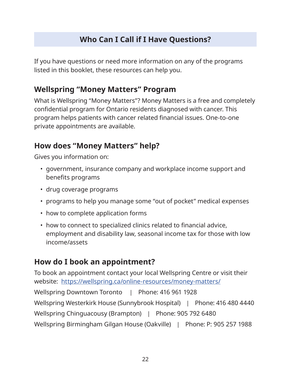# **Who Can I Call if I Have Questions?**

If you have questions or need more information on any of the programs listed in this booklet, these resources can help you.

# **Wellspring "Money Matters" Program**

What is Wellspring "Money Matters"? Money Matters is a free and completely confidential program for Ontario residents diagnosed with cancer. This program helps patients with cancer related financial issues. One-to-one private appointments are available.

### **How does "Money Matters" help?**

Gives you information on:

- government, insurance company and workplace income support and benefits programs
- drug coverage programs
- programs to help you manage some "out of pocket" medical expenses
- how to complete application forms
- how to connect to specialized clinics related to financial advice, employment and disability law, seasonal income tax for those with low income/assets

### **How do I book an appointment?**

To book an appointment contact your local Wellspring Centre or visit their website: <https://wellspring.ca/online-resources/money-matters/> Wellspring Downtown Toronto | Phone: 416 961 1928 Wellspring Westerkirk House (Sunnybrook Hospital) | Phone: 416 480 4440 Wellspring Chinguacousy (Brampton) | Phone: 905 792 6480 Wellspring Birmingham Gilgan House (Oakville) | Phone: P: 905 257 1988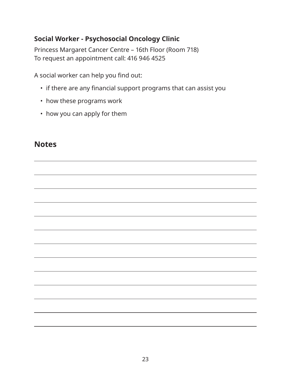#### **Social Worker - Psychosocial Oncology Clinic**

Princess Margaret Cancer Centre – 16th Floor (Room 718) To request an appointment call: 416 946 4525

A social worker can help you find out:

- if there are any financial support programs that can assist you
- how these programs work
- how you can apply for them

### **Notes**